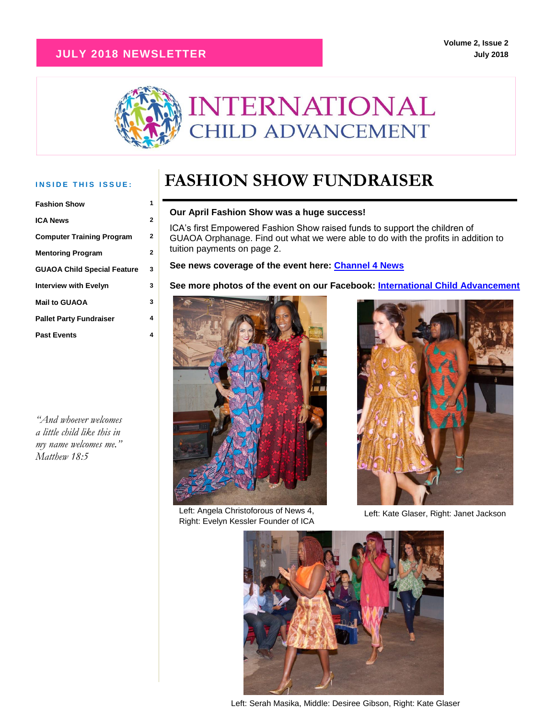#### **JULY 2018 NEWSLETTER**



| <b>Fashion Show</b>                | 1 |
|------------------------------------|---|
| <b>ICA News</b>                    | 2 |
| <b>Computer Training Program</b>   | 2 |
| <b>Mentoring Program</b>           | 2 |
| <b>GUAOA Child Special Feature</b> | 3 |
| <b>Interview with Evelyn</b>       | 3 |
| <b>Mail to GUAOA</b>               | 3 |
| <b>Pallet Party Fundraiser</b>     | 4 |
| <b>Past Events</b>                 | 4 |

*"And whoever welcomes a little child like this in my name welcomes me." Matthew 18:5*

### INSIDE THIS ISSUE: **FASHION SHOW FUNDRAISER**

#### **Our April Fashion Show was a huge success!**

| ICA's first Empowered Fashion Show raised funds to support the children of        |
|-----------------------------------------------------------------------------------|
| GUAOA Orphanage. Find out what we were able to do with the profits in addition to |
| tuition payments on page 2.                                                       |
|                                                                                   |

#### **See news coverage of the event here: [Channel 4 News](https://www.wivb.com/news/empowered-fashion-show_20180430073705/1150879704)**

**See more photos of the event on our Facebook: [International Child Advancement](https://www.facebook.com/www.chiladvancement.org/)**



Left: Angela Christoforous of News 4, Right: Evelyn Kessler Founder of ICA



Left: Kate Glaser, Right: Janet Jackson



Left: Serah Masika, Middle: Desiree Gibson, Right: Kate Glaser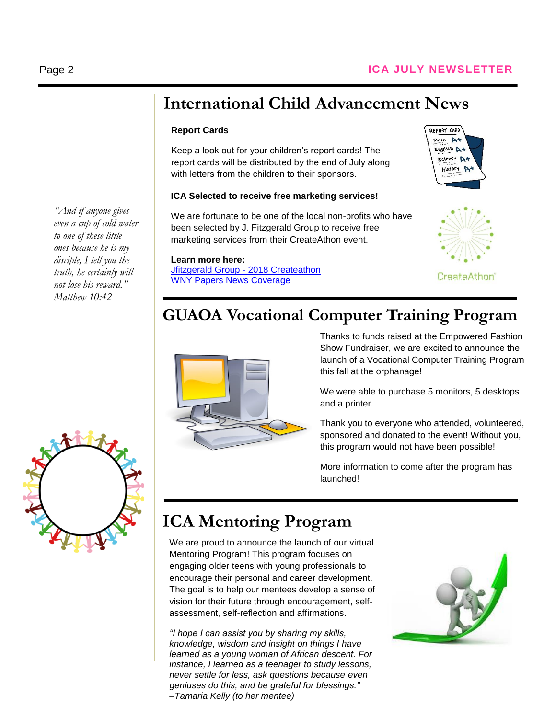### **International Child Advancement News**

#### **Report Cards**

Keep a look out for your children's report cards! The report cards will be distributed by the end of July along with letters from the children to their sponsors.

#### **ICA Selected to receive free marketing services!**

We are fortunate to be one of the local non-profits who have been selected by J. Fitzgerald Group to receive free marketing services from their CreateAthon event.

**Learn more here:**

[Jfitzgerald Group -](https://jfitzgeraldgroup.com/createathon/) 2018 Createathon [WNY Papers News Coverage](https://www.wnypapers.com/news/article/current/2018/06/18/133042/9-nonprofits-from-across-wny-to-receive-free-createathon-services)





### **GUAOA Vocational Computer Training Program**



Thanks to funds raised at the Empowered Fashion Show Fundraiser, we are excited to announce the launch of a Vocational Computer Training Program this fall at the orphanage!

We were able to purchase 5 monitors, 5 desktops and a printer.

Thank you to everyone who attended, volunteered, sponsored and donated to the event! Without you, this program would not have been possible!

More information to come after the program has launched!

# **ICA Mentoring Program**

We are proud to announce the launch of our virtual Mentoring Program! This program focuses on engaging older teens with young professionals to encourage their personal and career development. The goal is to help our mentees develop a sense of vision for their future through encouragement, selfassessment, self-reflection and affirmations.

*"I hope I can assist you by sharing my skills, knowledge, wisdom and insight on things I have learned as a young woman of African descent. For instance, I learned as a teenager to study lessons, never settle for less, ask questions because even geniuses do this, and be grateful for blessings." –Tamaria Kelly (to her mentee)*



*"And if anyone gives even a cup of cold water to one of these little ones because he is my disciple, I tell you the truth, he certainly will not lose his reward." Matthew 10:42*

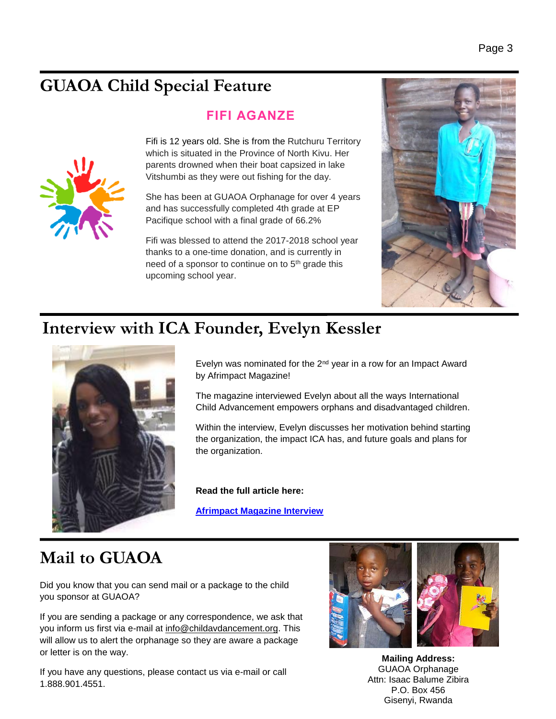# **GUAOA Child Special Feature**

#### **FIFI AGANZE**



Fifi is 12 years old. She is from the Rutchuru Territory which is situated in the Province of North Kivu. Her parents drowned when their boat capsized in lake Vitshumbi as they were out fishing for the day.

She has been at GUAOA Orphanage for over 4 years and has successfully completed 4th grade at EP Pacifique school with a final grade of 66.2%

Fifi was blessed to attend the 2017-2018 school year thanks to a one-time donation, and is currently in need of a sponsor to continue on to 5<sup>th</sup> grade this upcoming school year.



### **Interview with ICA Founder, Evelyn Kessler**



Evelyn was nominated for the  $2^{nd}$  year in a row for an Impact Award by Afrimpact Magazine!

The magazine interviewed Evelyn about all the ways International Child Advancement empowers orphans and disadvantaged children.

Within the interview, Evelyn discusses her motivation behind starting the organization, the impact ICA has, and future goals and plans for the organization.

**Read the full article here:**

**[Afrimpact Magazine Interview](http://afrimpactmagazine.com/english-section/causes/evelyn-kessler-empowers-orphans-and-disadvantaged-children-through-international-child-advancement/)**

# **Mail to GUAOA**

Did you know that you can send mail or a package to the child you sponsor at GUAOA?

If you are sending a package or any correspondence, we ask that you inform us first via e-mail at info@childavdancement.org. This will allow us to alert the orphanage so they are aware a package or letter is on the way.

If you have any questions, please contact us via e-mail or call 1.888.901.4551.



**Mailing Address:** GUAOA Orphanage Attn: Isaac Balume Zibira P.O. Box 456 Gisenyi, Rwanda